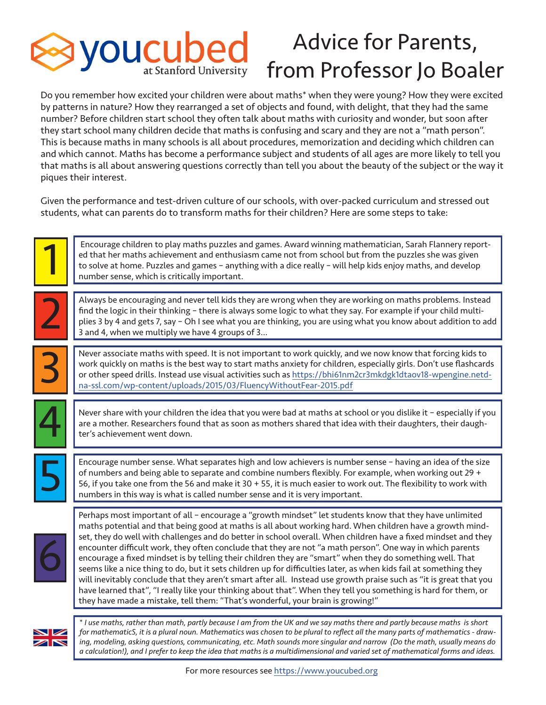

## Advice for Parents, from Professor Jo Boaler

Do you remember how excited your children were about maths\* when they were young? How they were excited by patterns in nature? How they rearranged a set of objects and found, with delight, that they had the same number? Before children start school they often talk about maths with curiosity and wonder, but soon after they start school many children decide that maths is confusing and scary and they are not a "math person". This is because maths in many schools is all about procedures, memorization and deciding which children can and which cannot. Maths has become a performance subject and students of all ages are more likely to tell you that maths is all about answering questions correctly than tell you about the beauty of the subject or the way it piques their interest.

Given the performance and test-driven culture of our schools, with over-packed curriculum and stressed out students, what can parents do to transform maths for their children? Here are some steps to take:





\* *I use maths, rather than math, partly because I am from the UK and we say maths there and partly because maths is short for mathematicS, it is a plural noun. Mathematics was chosen to be plural to refect all the many parts of mathematics - drawing, modeling, asking questions, communicating, etc. Math sounds more singular and narrow (Do the math, usually means do a calculation!), and I prefer to keep the idea that maths is a multidimensional and varied set of mathematical forms and ideas.*